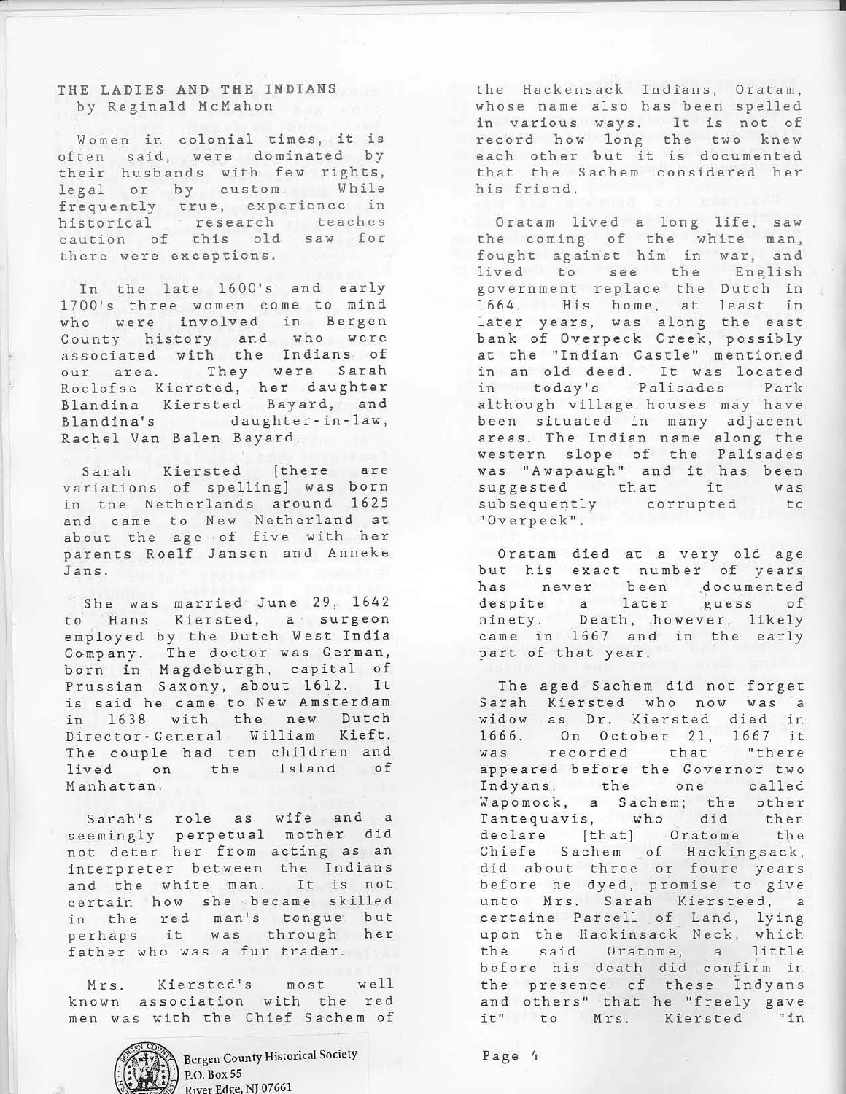## THE LADIES AND THE INDIANS by Reginald McMahon

Women in colonial times, it is often said, were dominated by their husbands with few rights, legal or by custom. While frequently true, experience in historical research teaches caution of this old saw for there were exceptions.

In the late 1600's and early 1700's three women come to mind who were involved in Bergen County history and who were associated with the Indians of our area. They were Sarah Roelofse Kiersted, her daughter Blandina Kiersted Bayard, and Blandina's daughter-in-law, Rachel Van Balen Bayard.

Sarah Kiersted [there are variations of spelling] was born in the Netherlands around 1625 and came to New Netherland at about the age of five with her parents Roelf Jansen and Anneke J ans.

She was married June 29, 1642 to Hans Kiersted, a surgeon employed by the Dutch West India Company. The doctor was German, born in Magdeburgh, capital of Prussian Saxony, about 1612. It is said he came to New Amsterdam in 1638 with the new Dutch Director- General William Kieft. The couple had ten children and lived on the Island of Manhattan.

Sarah's role as wife and a seemingly perpetual mother did not deter her from acting as an interpreter between the Indians and the white man. It is not ce rtain how she became skilled in the red man's tongue but perhaps it was through her father who was a fur trader.

Mrs. Kiersted's most well known association with the red men was with the Chief Sachem of



Bergen County Historical Society P.O. Box 55 River Edge, NJ 07661

the Hackensack Indians, Oratam, whose name also has been spelled It is not of the two knew each other but it is documented that the Sachem considered her in various ways. record how long his friend.

ا<br>ا

Oratam lived a long life, saw the coming of the white man, fought against him in war, and lived to see the English government replace the Dutch in 1664. His home, at least in later years, was along the east bank of Overpeck Creek, possibly at the "Indian Castle" mentioned in an old deed. It was located in today's Palisades Park although village houses may have been situated in many adjacent areas. The Indian name along the western slope of the Palisades was "Awapaugh" and it has been suggested that it was subsequently corrupted to "Overpeck".

Oratam died at a very old age but his exact number of years has never been documented despite a later guess of ninety. Death, however, likely came in 1667 and in the early part of that year.

The aged Sachem did not forget Sarah Kiersted who now was a widow as Dr. Kiersted died in 1666. On October 21, 1667 it was recorded that "there appeared before the Governor two Indyans, the one called Wapomock, a Sachem; the other Tantequavis, who did then declare [that] Oratome the Chiefe Sachem of Hackingsack, did about three or foure years before he dyed, promise to give unto Mrs. Sarah Kiersteed, a certaine Parcell of Land, lying upon the Hackinsack Neck, which the said Oratome, a little before his death did confirm in the presence of these Indyans and others" that he "freely gave<br>it" to Mrs. Kiersted "in it" to Mrs. Kiersted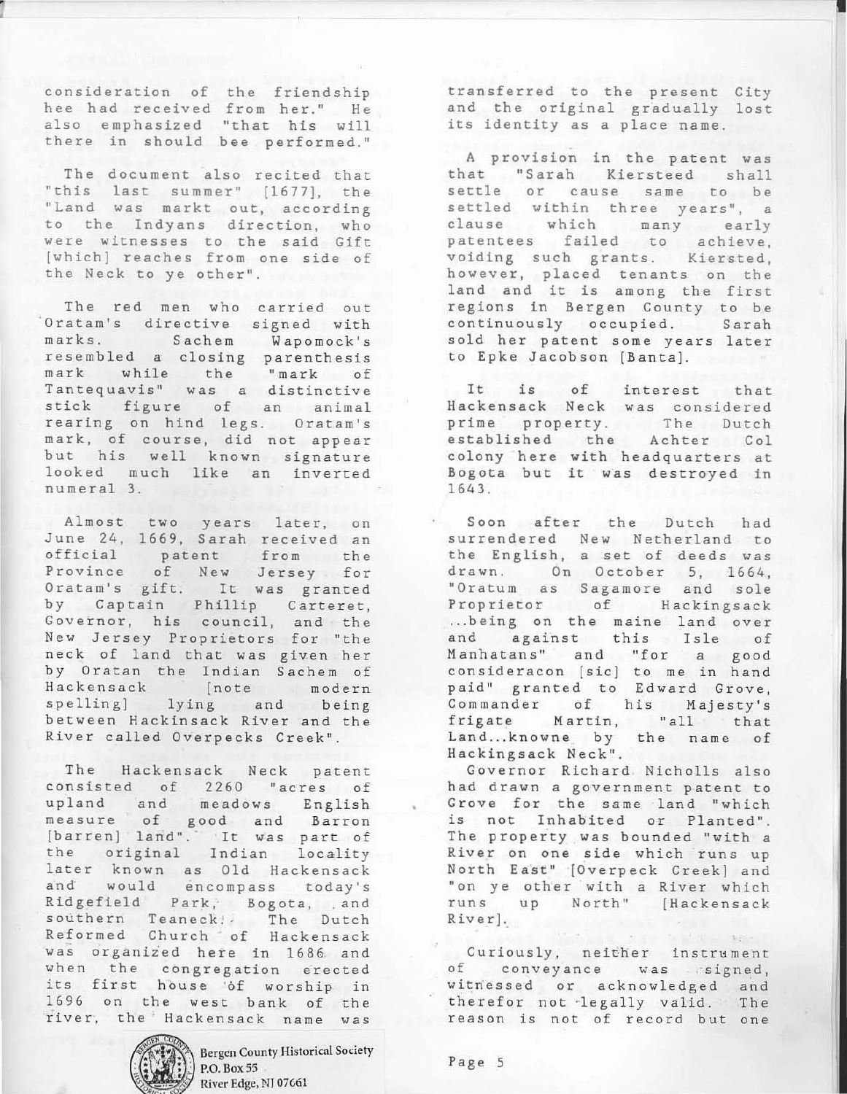consideration of the friendship hee had received from her ." He also emphasized "that his will there in should bee performed."

The document also recited that "this last summer" [1677}, the "Land was markt out, according to the Indyans direction, who were witnesses to the said Gift [which) reaches from one side of the Neck to ye other" .

The red men who carried out Oratam's directive signed with marks. Sachem Wapomock's resembled a closing parenthesis mark while the "mark of Tantequavis" was a distinctive stick figure of an animal rearing on hind legs. Oratam's mark, of course, did not appear but his well known signature lo oked much like an inverted numeral 3.

Almost two years later, on June 24, 1669, Sarah received an official patent from the Province of New Jersey for Oratam's gift. It was granted by Captain Phillip Carteret, Governor, his council, and the New Jersey Proprietors for "the neck of land that was given her by Oratan the Indian Sachem of Hackensack [note modern spelling] lying and being between Hackinsack River and the River called Overpecks Creek".

The Hackensack Neck patent consisted of 2260 "acres of upland and meadows English measure of good and Barron [barren] land". It was part of the original Indian locality later known as Old Hackensack and would encompass today's Ridgefield Park, Bogota, and southern Teaneck! The Dutch Reformed Church of Hackensack was organized here in 1686 and when the congregation erected its first house 'of worship in 1696 on the west bank of the river, the Hackensack name was



Bergen County Historical Society P.O. Box 55 River Edge, NJ 07G61

transferred to the present City and the original gradually lost its identity as a place name.

•

A provision in the patent was that "Sarah Kiersteed shall settle or cause same to be settled within three years", a clause which many early patentees failed to achieve, voiding such grants. Kiersted, however, placed tenants on the land and it is among the first regions in Bergen County to be continuously occupied. Sarah sold her patent some years later to Epke Jacobson [Banta].

It is of interest that Hackensack Neck was considered prime property. The Dutch established the Achter Col colony here with headquarters at Bogota but it was destroyed in 1643 .

Soon after the Dutch had surrendered New Netherland to the English , a set of deeds was drawn. On October 5, 1664, "Oratum as Sagamore and sole Proprietor of Hackingsack ... being on the maine land over and against this Isle of Manhatans" and "for a good consideracon [sic) to me in hand paid" granted to Edward Grove, Commander of his Majesty's frigate Martin, "all that Land...knowne by the name of Ha ckingsack Neck" .

Governor Richard Nicholls also had drawn a government patent to Grove for the same land "which is not Inhabited or Planted". The property was bounded "with a River on one side which runs up North East" [Overpeck Creek] and "on ye other with a River which<br>runs up North" [Hackensack up North" [Hackensack River].

Curiously, neither instrument of conveyance was signed, witnessed or acknowledged and therefor not legally valid. The reason is not of record but one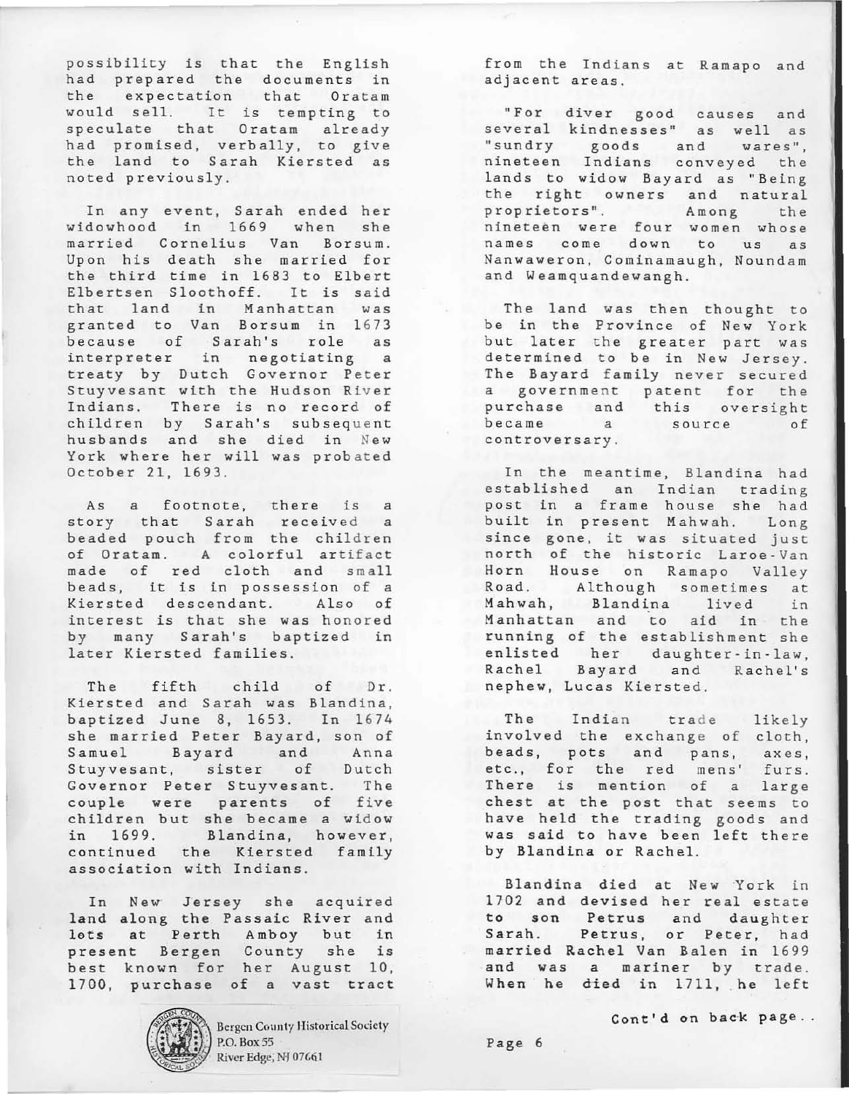possibility is that the English had prepared the documents in the expectation that Oratam would sell. It is tempting to speculate that Oratam already had promised, verbally, to give the land to Sarah Kiersted as noted previously.

In any event, Sarah ended her widowhood in 1669 when she married Cornelius Van Borsum. Upon his death she married for the third time in 1683 to Elbert Elbertsen Sloothoff. It is said that land in Manhattan was granted to Van Borsum in 1673 because of Sarah's role as interpreter in negotiating a treaty by Dutch Governor Peter Stuyvesant with the Hudson River Indians. There is no record of children by Sarah's subsequent husbands and she died in New York where her will was probated October 21, 1693.

As a footnote, there is a story that Sarah received a beaded pouch from the children of Oratam. A colorful artifact made of red cloth and small beads, it is in possession of a Kiersted descendant. Also of interest is that she was honored by many Sarah's baptized in later Kiersted families.

The fifth child of Dr. Kiersted and Sarah was Blandina, baptized June 8, 1653. In 1674 she married Peter Bayard, son of Samuel Bayard and Anna Stuyvesant, sister of Dutch Governor Peter Stuyvesant. The couple were parents of five children but she became a widow in 1699. Blandina, however, continued the Kiersted family association with Indians.

In New Jersey she acquired land along the Passaic River and lots at Perth Amboy but in present Bergen County she is .<br>best known for her August 10, 1700, purchase of a vast tract



Bergen County Historical Society P.O. Box 55 River Edge; NJ 07661

from the Indians at Ramapo and adjacent areas.

"For diver good causes and seve ral kindnesses" as well as "sundry goods and wares", nineteen Indians conveyed the lands to widow Bayard as " Being the right owners and natural proprietors". Among the nineteen were four women whose names come down to us as Nanwaweron, Cominamaugh, Noundam and Weamquandewangh.

The land was then thought to be in the Province of New York but later the greater part was determined to be in New Jersey. The Bayard family never secured a government patent for the purchase and this oversight became a source of controversary.

In the meantime, Blandina had established an Indian trading post in a frame house she had built in present Mahwah. Long since gone, it was situated just north of the historic Laroe·Van Horn House on Ramapo Valley Road. Although sometimes at Mahwah, Blandina lived in Manhattan and to aid in the running of the establishment she enlisted her daughter-in-law, Rachel Bayard and Rachel's nephew, Lucas Kiersted.

The Indian trade likely involved the exchange of cloth, beads, pots and pans, axes, etc., for the red mens' furs. There is mention of a large chest at the post that seems to have held the trading goods and was said to have been left there by Blandina or Rachel.

Slandina died at New York in 1702 and devised her real estate to son Petrus and daughter Sarah. Petrus, or Peter, had married Rachel Van Balen in 1699 and was a mariner by trade. When he died in 1711, he left

Cont'd on back page ..